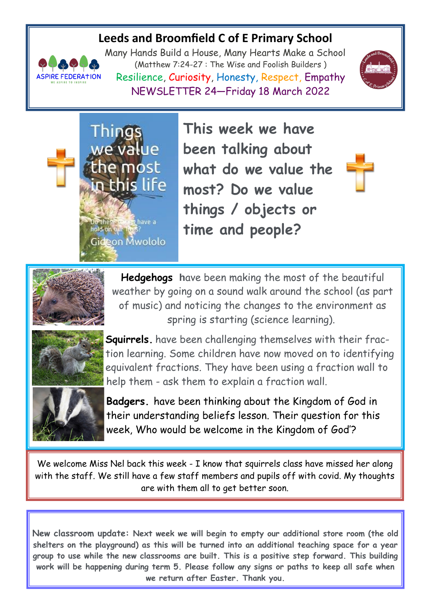# **Leeds and Broomfield C of E Primary School**



Things

Do these the<br>hold on our fi

we value

the most

in this life

Gideon Mwololo

have a

Many Hands Build a House, Many Hearts Make a School (Matthew 7:24-27 : The Wise and Foolish Builders ) Resilience, Curiosity, Honesty, Respect, Empathy NEWSLETTER 24—Friday 18 March 2022



**This week we have been talking about what do we value the most? Do we value things / objects or time and people?**





**Hedgehogs h**ave been making the most of the beautiful weather by going on a sound walk around the school (as part of music) and noticing the changes to the environment as spring is starting (science learning).



**Squirrels.** have been challenging themselves with their fraction learning. Some children have now moved on to identifying equivalent fractions. They have been using a fraction wall to help them - ask them to explain a fraction wall.

**Badgers.** have been thinking about the Kingdom of God in their understanding beliefs lesson. Their question for this week, Who would be welcome in the Kingdom of God'?

We welcome Miss Nel back this week - I know that squirrels class have missed her along with the staff. We still have a few staff members and pupils off with covid. My thoughts are with them all to get better soon.

**New classroom update: Next week we will begin to empty our additional store room (the old shelters on the playground) as this will be turned into an additional teaching space for a year group to use while the new classrooms are built. This is a positive step forward. This building work will be happening during term 5. Please follow any signs or paths to keep all safe when we return after Easter. Thank you.**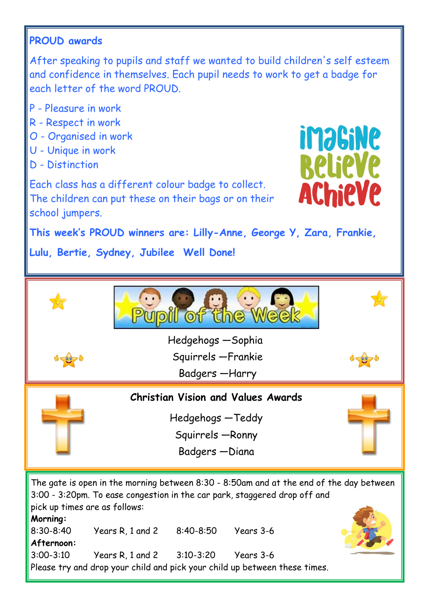## **PROUD awards**

After speaking to pupils and staff we wanted to build children's self esteem and confidence in themselves. Each pupil needs to work to get a badge for each letter of the word PROUD.

- P Pleasure in work
- R Respect in work
- O Organised in work
- U Unique in work
- D Distinction

**imaGiNe BelieVe AChieVe** 

Each class has a different colour badge to collect. The children can put these on their bags or on their school jumpers.

**This week's PROUD winners are: Lilly-Anne, George Y, Zara, Frankie,**

**Lulu, Bertie, Sydney, Jubilee Well Done!** 



**Morning:**

8:30-8:40 Years R, 1 and 2 8:40-8:50 Years 3-6 **Afternoon:** 3:00-3:10 Years R, 1 and 2 3:10-3:20 Years 3-6 Please try and drop your child and pick your child up between these times.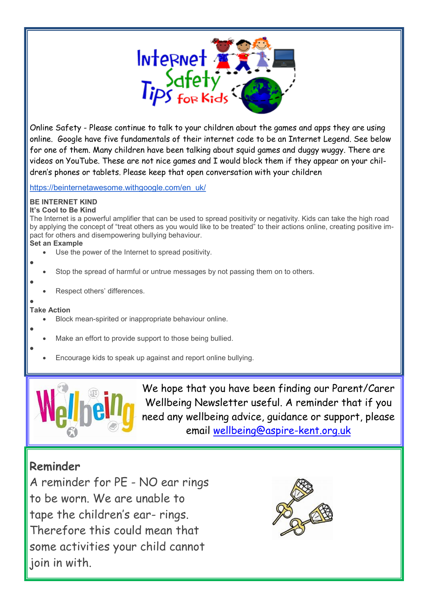

Online Safety - Please continue to talk to your children about the games and apps they are using online. Google have five fundamentals of their internet code to be an Internet Legend. See below for one of them. Many children have been talking about squid games and duggy wuggy. There are videos on YouTube. These are not nice games and I would block them if they appear on your children's phones or tablets. Please keep that open conversation with your children

[https://beinternetawesome.withgoogle.com/en\\_uk/](https://beinternetawesome.withgoogle.com/en_uk/)

#### **BE INTERNET KIND It's Cool to Be Kind**

The Internet is a powerful amplifier that can be used to spread positivity or negativity. Kids can take the high road by applying the concept of "treat others as you would like to be treated" to their actions online, creating positive impact for others and disempowering bullying behaviour.

### **Set an Example**

- Use the power of the Internet to spread positivity.
- Stop the spread of harmful or untrue messages by not passing them on to others.
- Respect others' differences.

### $\bullet$ **Take Action**

 $\bullet$ 

 $\bullet$ 

 $\bullet$ 

 $\bullet$ 

- Block mean-spirited or inappropriate behaviour online.
- Make an effort to provide support to those being bullied.
- Encourage kids to speak up against and report online bullying.



We hope that you have been finding our Parent/Carer Wellbeing Newsletter useful. A reminder that if you need any wellbeing advice, guidance or support, please email [wellbeing@aspire-kent.org.uk](mailto:wellbeing@aspire-kent.org.uk)

# **Reminder**

A reminder for PE - NO ear rings to be worn. We are unable to tape the children's ear- rings. Therefore this could mean that some activities your child cannot join in with.